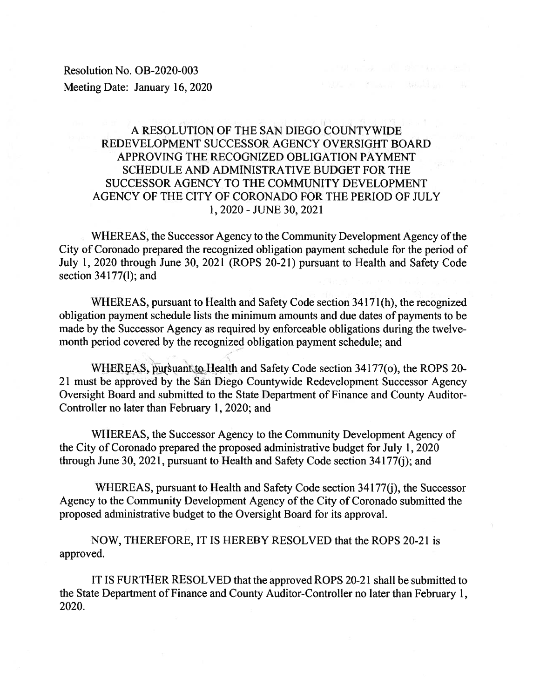Resolution No. OB-2020-003 Meeting Date: January 16, 2020

# A RESOLUTION OF THE SAN DIEGO COUNTYWIDE REDEVELOPMENT SUCCESSOR AGENCY OVERSIGHT BOARD APPROVING THE RECOGNIZED OBLIGATION PAYMENT SCHEDULE AND ADMINISTRATIVE BUDGET FOR THE SUCCESSOR AGENCY TO THE COMMUNITY DEVELOPMENT AGENCY OF THE CITY OF CORONADO FOR THE PERIOD OF JULY 1, 2020 - JUNE 30, 2021

yuch pressure would be

WHEREAS, the Successor Agency to the Community Development Agency of the City of Coronado prepared the recognized obligation payment schedule for the period of July 1, 2020 through June 30, 2021 (ROPS 20-21) pursuant to Health and Safety Code section  $34177(l)$ ; and

WHEREAS, pursuant to Health and Safety Code section 34171(h), the recognized obligation payment schedule lists the minimum amounts and due dates of payments to be made by the Successor Agency as required by enforceable obligations during the twelvemonth period covered by the recognized obligation payment schedule; and

WHEREAS, pursuant to Health and Safety Code section 34177(o), the ROPS 20-21 must be approved by the San Diego Countywide Redevelopment Successor Agency Oversight Board and submitted to the State Department of Finance and County Auditor-Controller no later than February 1, 2020; and

WHEREAS, the Successor Agency to the Community Development Agency of the City of Coronado prepared the proposed administrative budget for July 1, 2020 through June 30, 2021, pursuant to Health and Safety Code section 34177(j); and

WHEREAS, pursuant to Health and Safety Code section 34177(j), the Successor Agency to the Community Development Agency of the City of Coronado submitted the proposed administrative budget to the Oversight Board for its approval.

NOW, THEREFORE, IT IS HEREBY RESOLVED that the ROPS 20-21 is approved.

IT IS FURTHER RESOLVED that the approved ROPS 20-21 shall be submitted to the State Department of Finance and County Auditor-Controller no later than February 1, 2020.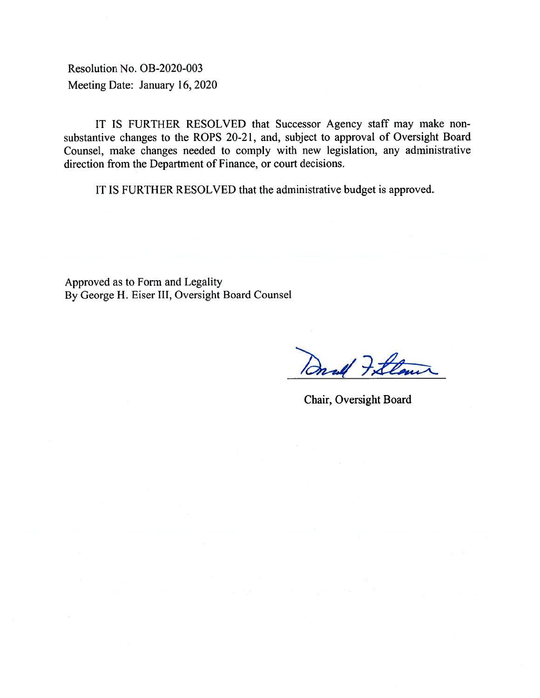Resolution No. OB-2020-003 Meeting Date: January 16, 2020

IT IS FURTHER RESOLVED that Successor Agency staff may make nonsubstantive changes to the ROPS 20-21, and, subject to approval of Oversight Board Counsel, make changes needed to comply with new legislation, any administrative direction from the Department of Finance, or court decisions.

IT IS FURTHER RESOLVED that the administrative budget is approved.

Approved as to Form and Legality By George H. Eiser III, Oversight Board Counsel

Onald Fillow

Chair, Oversight Board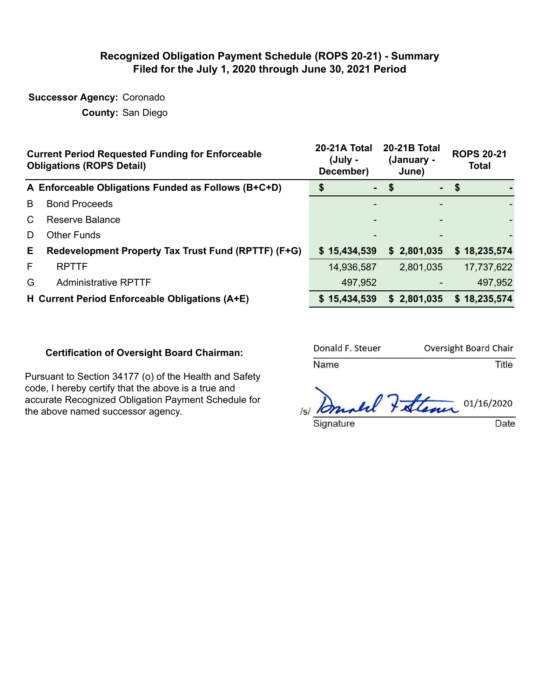### **Recognized Obligation Payment Schedule (ROPS 20-21) - Summary Filed for the July 1, 2020 through June 30, 2021 Period**

**Successor Agency:** Coronado

**County:** San Diego

|    | <b>Current Period Requested Funding for Enforceable</b><br><b>Obligations (ROPS Detail)</b> | 20-21A Total<br>(July -<br>December) | <b>20-21B Total</b><br>(January -<br>June) | <b>ROPS 20-21</b><br><b>Total</b> |  |  |
|----|---------------------------------------------------------------------------------------------|--------------------------------------|--------------------------------------------|-----------------------------------|--|--|
|    | A Enforceable Obligations Funded as Follows (B+C+D)                                         |                                      | $-$ \$                                     | $-$ \$                            |  |  |
| B  | <b>Bond Proceeds</b>                                                                        |                                      |                                            |                                   |  |  |
| C  | Reserve Balance                                                                             |                                      |                                            |                                   |  |  |
| D  | <b>Other Funds</b>                                                                          |                                      |                                            |                                   |  |  |
| E. | Redevelopment Property Tax Trust Fund (RPTTF) (F+G)                                         | \$15,434,539                         | \$2,801,035                                | \$18,235,574                      |  |  |
| F  | <b>RPTTF</b>                                                                                | 14,936,587                           | 2,801,035                                  | 17,737,622                        |  |  |
| G  | <b>Administrative RPTTF</b>                                                                 | 497,952                              |                                            | 497,952                           |  |  |
|    | H Current Period Enforceable Obligations (A+E)                                              | \$15,434,539                         | \$2,801,035                                | \$18,235,574                      |  |  |

#### **Certification of Oversight Board Chairman:**

Pursuant to Section 34177 (o) of the Health and Safety code, I hereby certify that the above is a true and accurate Recognized Obligation Payment Schedule for the above named successor agency.

| Donald F. Steuer | Oversight Board Chair |
|------------------|-----------------------|
| <b>Name</b>      | Title                 |

Analel Father 01/16/2020 Signature Date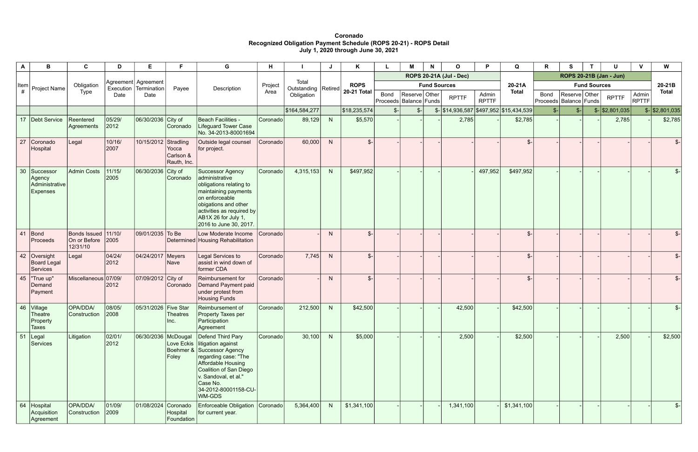**Coronado Recognized Obligation Payment Schedule (ROPS 20-21) - ROPS Detail July 1, 2020 through June 30, 2021** 

| A               | B                                                        | C.                                                   | D                        | E.                                             | F                                 | G                                                                                                                                                                                                                   | н        |                                |                | Κ                  |                                           | М                              | N | $\Omega$     | D                     | Q                                                    | R             | S.                                            |  |                             | $\mathbf{V}$          | W                           |
|-----------------|----------------------------------------------------------|------------------------------------------------------|--------------------------|------------------------------------------------|-----------------------------------|---------------------------------------------------------------------------------------------------------------------------------------------------------------------------------------------------------------------|----------|--------------------------------|----------------|--------------------|-------------------------------------------|--------------------------------|---|--------------|-----------------------|------------------------------------------------------|---------------|-----------------------------------------------|--|-----------------------------|-----------------------|-----------------------------|
|                 |                                                          |                                                      |                          |                                                |                                   |                                                                                                                                                                                                                     |          |                                |                |                    |                                           | <b>ROPS 20-21A (Jul - Dec)</b> |   |              |                       |                                                      |               |                                               |  | ROPS 20-21B (Jan - Jun)     |                       |                             |
| Item            | Project Name                                             | Obligation                                           |                          | Agreement   Agreement<br>Execution Termination | Payee                             | Description                                                                                                                                                                                                         | Project  | Total<br>Outstanding   Retired |                | <b>ROPS</b>        | <b>Fund Sources</b>                       |                                |   | 20-21A       |                       | <b>Fund Sources</b>                                  |               |                                               |  |                             |                       |                             |
| #               |                                                          | Type                                                 | Date                     | Date                                           |                                   |                                                                                                                                                                                                                     | Area     | Obligation                     |                | <b>20-21 Total</b> | <b>Bond</b><br>Proceeds   Balance   Funds | Reserve Other                  |   | <b>RPTTF</b> | Admin<br><b>RPTTF</b> | <b>Total</b>                                         | <b>Bond</b>   | Reserve   Other<br>Proceeds   Balance   Funds |  | <b>RPTTF</b>                | Admin<br><b>RPTTF</b> | <b>Total</b>                |
|                 |                                                          |                                                      |                          |                                                |                                   |                                                                                                                                                                                                                     |          | \$164,584,277                  |                | \$18,235,574       | $\frac{2}{2}$                             | $\mathcal{S}$ -                |   |              |                       | $\frac{1}{2}$ \\$14,936,587 \\$497,952 \\$15,434,539 | $\frac{2}{2}$ | $\mathcal{S}$ -                               |  | $\frac{1}{2}$ \ \$2,801,035 |                       | $\frac{1}{2}$ \ \$2,801,035 |
| 17              | Debt Service                                             | Reentered<br>Agreements                              | 05/29/<br> 2012          | 06/30/2036 City of                             | Coronado                          | Beach Facilities -<br><b>Lifeguard Tower Case</b><br>No. 34-2013-80001694                                                                                                                                           | Coronado | 89,129                         | N              | \$5,570            |                                           |                                |   | 2,785        |                       | \$2,785                                              |               |                                               |  | 2,785                       |                       | \$2,785                     |
| 27              | Coronado<br>Hospital                                     | Legal                                                | 10/16/<br>2007           | 10/15/2012 Stradling                           | Yocca<br>Carlson &<br>Rauth, Inc. | Outside legal counsel<br>for project.                                                                                                                                                                               | Coronado | 60,000                         | N              | $\mathcal{S}$      |                                           |                                |   |              |                       | $\mathcal{S}$                                        |               |                                               |  |                             |                       | $S-$                        |
| 30 <sup>°</sup> | Successor<br>Agency<br>Administrative<br><b>Expenses</b> | <b>Admin Costs</b>                                   | 11/15/<br>2005           | 06/30/2036 City of                             | Coronado                          | Successor Agency<br>administrative<br>obligations relating to<br>maintaining payments<br>on enforceable<br>obigations and other<br>activities as required by<br>AB1X 26 for July 1,<br>2016 to June 30, 2017.       | Coronado | 4,315,153                      | N              | \$497,952          |                                           |                                |   |              | 497,952               | \$497,952                                            |               |                                               |  |                             |                       |                             |
| 41              | Bond<br>Proceeds                                         | Bonds Issued 11/10/<br>On or Before 2005<br>12/31/10 |                          | 09/01/2035 To Be                               |                                   | Low Moderate Income<br>Determined Housing Rehabilitation                                                                                                                                                            | Coronado |                                | N.             | $\mathcal{S}$      |                                           |                                |   |              |                       | $\mathcal{S}$                                        |               |                                               |  |                             |                       |                             |
| 42              | Oversight<br><b>Board Legal</b><br>Services              | Legal                                                | 04/24/<br> 2012          | 04/24/2017 Meyers                              | Nave                              | Legal Services to<br>assist in wind down of<br>former CDA                                                                                                                                                           | Coronado | 7,745                          | N.             | $\mathfrak{S}$     |                                           |                                |   |              |                       | $\mathbb{S}^-$                                       |               |                                               |  |                             |                       | $S-$                        |
| 45              | "True up"<br>Demand<br>Payment                           | Miscellaneous 07/09/                                 | 2012                     | 07/09/2012 City of                             | Coronado                          | Reimbursement for<br>Demand Payment paid<br>under protest from<br><b>Housing Funds</b>                                                                                                                              | Coronado |                                | N <sub>1</sub> | $\mathfrak{L}$     |                                           |                                |   |              |                       | $\mathcal{S}$                                        |               |                                               |  |                             |                       | $S-$                        |
| 46              | Village<br>Theatre<br>Property<br>Taxes                  | OPA/DDA/<br>Construction                             | 08/05/<br> 2008          | 05/31/2026 Five Star                           | <b>Theatres</b><br>Inc.           | Reimbursement of<br>Property Taxes per<br>Participation<br>Agreement                                                                                                                                                | Coronado | 212,500                        | N              | \$42,500           |                                           |                                |   | 42,500       |                       | \$42,500                                             |               |                                               |  |                             |                       | $S-$                        |
| 51              | Legal<br>Services                                        | Litigation                                           | 02/01/<br>2012           | 06/30/2036   McDougal                          | Love Eckis<br>Foley               | Defend Third Pary<br>litigation against<br>Boehmer & Successor Agency<br>regarding case: "The<br>Affordable Housing<br>Coalition of San Diego<br>v. Sandoval, et al."<br>Case No.<br>34-2012-80001158-CU-<br>WM-GDS | Coronado | 30,100                         | N              | \$5,000            |                                           |                                |   | 2,500        |                       | \$2,500                                              |               |                                               |  | 2,500                       |                       | \$2,500                     |
| 64              | Hospital<br>Acquisition<br>Agreement                     | OPA/DDA/<br>Construction                             | 01/09/<br>$ 2009\rangle$ | 01/08/2024 Coronado                            | Hospital<br>Foundation            | Enforceable Obligation Coronado<br>for current year.                                                                                                                                                                |          | 5,364,400                      | N              | \$1,341,100        |                                           |                                |   | 1,341,100    |                       | \$1,341,100                                          |               |                                               |  |                             |                       | $\frac{2}{2}$               |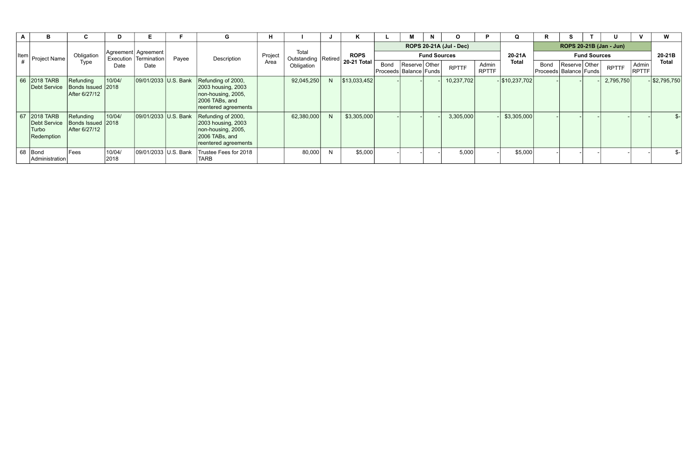| $\mathbf{A}$ | В                                                   |                                                 |                      |                      |       | G                                                                                                        | н     |                                     |             | K                                                     |                                    | M             | N | $\Omega$     |                       | Q                       |        |                                                 |              |                       | W               |
|--------------|-----------------------------------------------------|-------------------------------------------------|----------------------|----------------------|-------|----------------------------------------------------------------------------------------------------------|-------|-------------------------------------|-------------|-------------------------------------------------------|------------------------------------|---------------|---|--------------|-----------------------|-------------------------|--------|-------------------------------------------------|--------------|-----------------------|-----------------|
|              | Item Project Name I                                 | Obligation                                      | Agreement  Agreement |                      |       | Project                                                                                                  | Total |                                     | <b>ROPS</b> | <b>ROPS 20-21A (Jul - Dec)</b><br><b>Fund Sources</b> |                                    |               |   |              | 20-21A                | ROPS 20-21B (Jan - Jun) | 20-21B |                                                 |              |                       |                 |
|              |                                                     | Type                                            | Execution<br>Date    | Termination<br>Date  | Payee | Description                                                                                              | Area  | Outstanding   Retired<br>Obligation |             | 20-21 Total '                                         | Bond<br>Proceeds   Balance   Funds | Reserve Other |   | <b>RPTTF</b> | Admin<br><b>RPTTF</b> | <b>Total</b>            | Bond   | Reserve   Other  <br>Proceeds   Balance   Funds | <b>RPTTF</b> | Admin<br><b>RPTTF</b> | <b>Total</b>    |
|              | 66 2018 TARB<br>Debt Service                        | Refunding<br>Bonds Issued 2018<br>After 6/27/12 | 10/04/               | 09/01/2033 U.S. Bank |       | Refunding of 2000,<br>2003 housing, 2003<br>non-housing, 2005,<br>2006 TABs, and<br>reentered agreements |       | 92,045,250                          | N           | \$13,033,452                                          |                                    |               |   | 10,237,702   |                       | $-$ \$10,237,702        |        |                                                 | 2,795,750    |                       | $-$ \$2,795,750 |
|              | 67 2018 TARB<br>Debt Service<br>Turbo<br>Redemption | Refunding<br>Bonds Issued 2018<br>After 6/27/12 | 10/04/               | 09/01/2033 U.S. Bank |       | Refunding of 2000,<br>2003 housing, 2003<br>non-housing, 2005,<br>2006 TABs, and<br>reentered agreements |       | 62,380,000                          | N           | \$3,305,000                                           |                                    |               |   | 3,305,000    |                       | \$3,305,000             |        |                                                 |              |                       | $\frac{2}{2}$   |
|              | 68 Bond<br>Administration                           | Fees                                            | 10/04/<br>2018       | 09/01/2033 U.S. Bank |       | Trustee Fees for 2018<br>TARB                                                                            |       | 80,000                              | N           | \$5,000                                               |                                    |               |   | 5,000        |                       | \$5,000                 |        |                                                 |              |                       | $S-$            |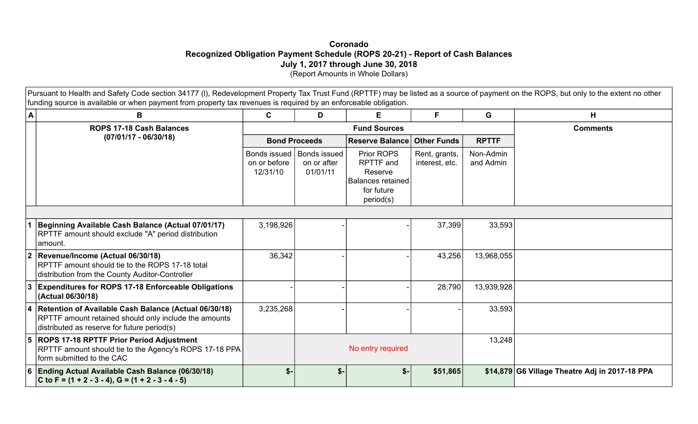### **Coronado Recognized Obligation Payment Schedule (ROPS 20-21) - Report of Cash Balances July 1, 2017 through June 30, 2018**  (Report Amounts in Whole Dollars)

Pursuant to Health and Safety Code section 34177 (I), Redevelopment Property Tax Trust Fund (RPTTF) may be listed as a source of payment on the ROPS, but only to the extent no other funding source is available or when payment from property tax revenues is required by an enforceable obligation.

| A              | B                                                                                                                                                             | $\mathbf{C}$                             | D                                              | E.                                                                                 | F                               | G                      | н                                              |  |  |  |
|----------------|---------------------------------------------------------------------------------------------------------------------------------------------------------------|------------------------------------------|------------------------------------------------|------------------------------------------------------------------------------------|---------------------------------|------------------------|------------------------------------------------|--|--|--|
|                | ROPS 17-18 Cash Balances                                                                                                                                      |                                          |                                                | <b>Fund Sources</b>                                                                | <b>Comments</b>                 |                        |                                                |  |  |  |
|                | $(07/01/17 - 06/30/18)$                                                                                                                                       |                                          | <b>Bond Proceeds</b>                           | <b>Reserve Balance</b>                                                             | <b>Other Funds</b>              | <b>RPTTF</b>           |                                                |  |  |  |
|                |                                                                                                                                                               | Bonds issued<br>on or before<br>12/31/10 | <b>Bonds issued</b><br>on or after<br>01/01/11 | Prior ROPS<br>RPTTF and<br>Reserve<br>Balances retained<br>for future<br>period(s) | Rent, grants,<br>interest, etc. | Non-Admin<br>and Admin |                                                |  |  |  |
|                |                                                                                                                                                               |                                          |                                                |                                                                                    |                                 |                        |                                                |  |  |  |
|                | Beginning Available Cash Balance (Actual 07/01/17)<br>RPTTF amount should exclude "A" period distribution<br>amount.                                          | 3,198,926                                |                                                |                                                                                    | 37,399                          | 33,593                 |                                                |  |  |  |
| $\overline{2}$ | Revenue/Income (Actual 06/30/18)<br>RPTTF amount should tie to the ROPS 17-18 total<br>distribution from the County Auditor-Controller                        | 36,342                                   |                                                |                                                                                    | 43,256                          | 13,968,055             |                                                |  |  |  |
| 3              | <b>Expenditures for ROPS 17-18 Enforceable Obligations</b><br>(Actual 06/30/18)                                                                               |                                          |                                                |                                                                                    | 28,790                          | 13,939,928             |                                                |  |  |  |
| 14             | Retention of Available Cash Balance (Actual 06/30/18)<br>RPTTF amount retained should only include the amounts<br>distributed as reserve for future period(s) | 3,235,268                                |                                                |                                                                                    |                                 | 33,593                 |                                                |  |  |  |
| 5              | <b>ROPS 17-18 RPTTF Prior Period Adjustment</b><br>RPTTF amount should tie to the Agency's ROPS 17-18 PPA<br>form submitted to the CAC                        |                                          |                                                | No entry required                                                                  |                                 | 13,248                 |                                                |  |  |  |
| 16             | Ending Actual Available Cash Balance (06/30/18)<br>C to F = $(1 + 2 - 3 - 4)$ , G = $(1 + 2 - 3 - 4 - 5)$                                                     | \$-                                      | $$-$                                           | $s-$                                                                               | \$51,865                        |                        | \$14,879 G6 Village Theatre Adj in 2017-18 PPA |  |  |  |